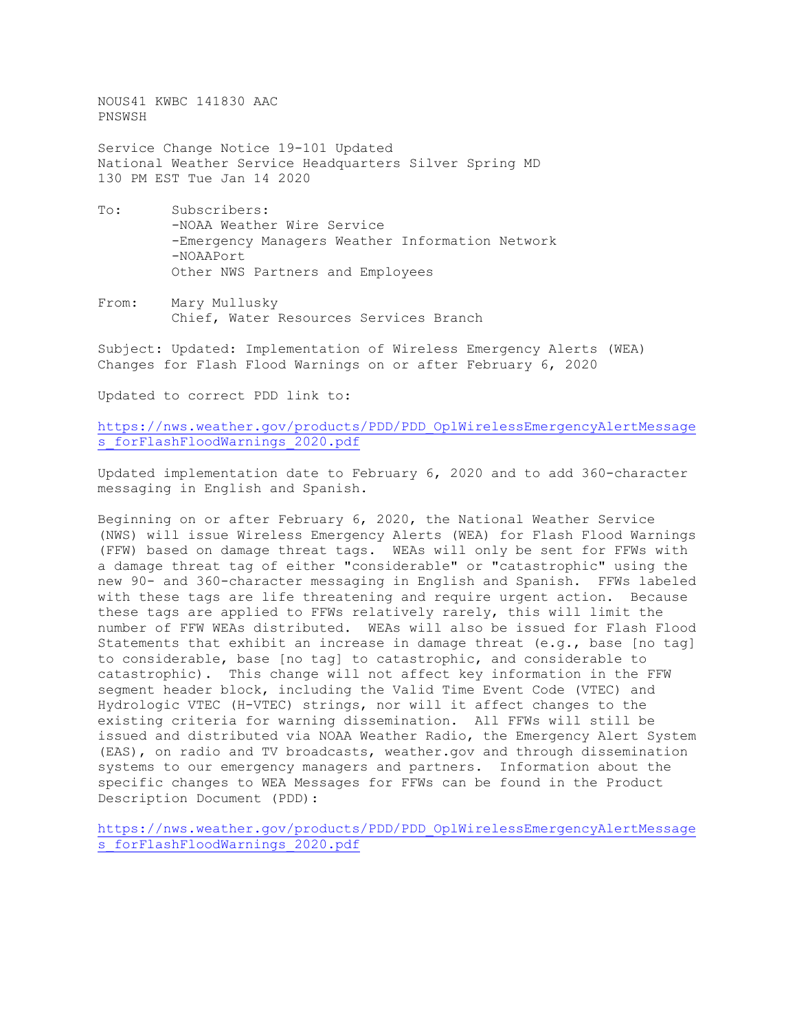NOUS41 KWBC 141830 AAC PNSWSH

Service Change Notice 19-101 Updated National Weather Service Headquarters Silver Spring MD 130 PM EST Tue Jan 14 2020

- To: Subscribers: -NOAA Weather Wire Service -Emergency Managers Weather Information Network -NOAAPort Other NWS Partners and Employees
- From: Mary Mullusky Chief, Water Resources Services Branch

Subject: Updated: Implementation of Wireless Emergency Alerts (WEA) Changes for Flash Flood Warnings on or after February 6, 2020

Updated to correct PDD link to:

[https://nws.weather.gov/products/PDD/PDD\\_OplWirelessEmergencyAlertMessage](https://nws.weather.gov/products/PDD/PDD_OplWirelessEmergencyAlertMessages_forFlashFloodWarnings_2020.pdf) [s\\_forFlashFloodWarnings\\_2020.pdf](https://nws.weather.gov/products/PDD/PDD_OplWirelessEmergencyAlertMessages_forFlashFloodWarnings_2020.pdf)

Updated implementation date to February 6, 2020 and to add 360-character messaging in English and Spanish.

Beginning on or after February 6, 2020, the National Weather Service (NWS) will issue Wireless Emergency Alerts (WEA) for Flash Flood Warnings (FFW) based on damage threat tags. WEAs will only be sent for FFWs with a damage threat tag of either "considerable" or "catastrophic" using the new 90- and 360-character messaging in English and Spanish. FFWs labeled with these tags are life threatening and require urgent action. Because these tags are applied to FFWs relatively rarely, this will limit the number of FFW WEAs distributed. WEAs will also be issued for Flash Flood Statements that exhibit an increase in damage threat (e.g., base [no tag] to considerable, base [no tag] to catastrophic, and considerable to catastrophic). This change will not affect key information in the FFW segment header block, including the Valid Time Event Code (VTEC) and Hydrologic VTEC (H-VTEC) strings, nor will it affect changes to the existing criteria for warning dissemination. All FFWs will still be issued and distributed via NOAA Weather Radio, the Emergency Alert System (EAS), on radio and TV broadcasts, weather.gov and through dissemination systems to our emergency managers and partners. Information about the specific changes to WEA Messages for FFWs can be found in the Product Description Document (PDD):

[https://nws.weather.gov/products/PDD/PDD\\_OplWirelessEmergencyAlertMessage](https://nws.weather.gov/products/PDD/PDD_OplWirelessEmergencyAlertMessages_forFlashFloodWarnings_2020.pdf) s forFlashFloodWarnings 2020.pdf